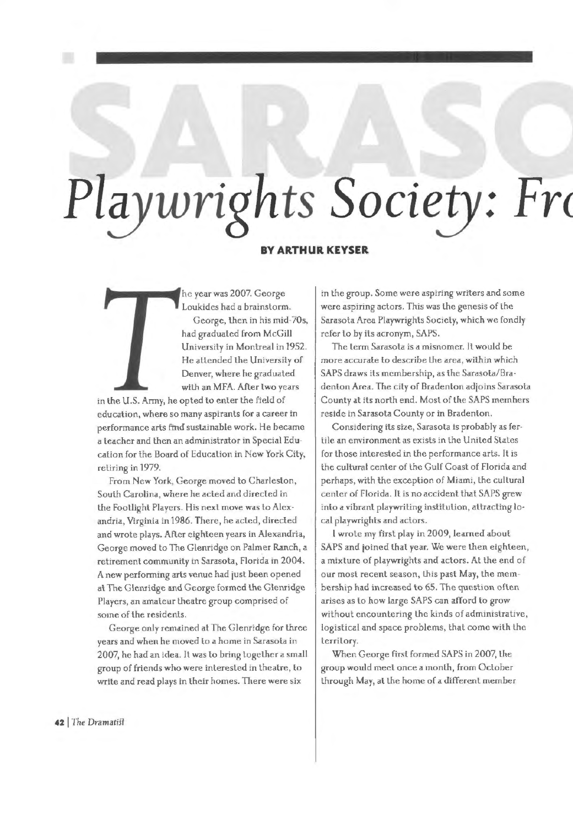## *Playwrights Society: Fre*

## **BY ARTHUR KEYSER**

he year was 2007. George Loukides had a brainslorm. George, then in his mid-70s, had graduated from McGill University in Montreal in 1952. He attended the University of Denver, where he gradualed wilh an MFA. After two years

in the U.S. Army, he opted to enter the field of education, where so many aspirants for a career in performance arts find suslainable work. He became a leacher and then an administrator in Special Education for the Board of Education in New York Cily, retiring in 1979.

From New York, George moved to Charleston, South Carolina, where he acted and direcled in the Footlight Players. His next move was to Alexandria, Virginia in 1986. There, he acled, direcled and wrote plays. After eighteen years in Alexandria, George moved to The Glenridge on Palmer Ranch, a retirement community in Sarasota, Florida in 2004. A new performing arts venue had just been opened al The Glcnridge and George formed lhe Glenridge Players, an amateur theatre group comprised of some of the residenls.

George only remained at The Glenridge for lhree years and when he moved to a home in Sarasola in 2007, he had an idea. It was lo bring together a small group of friends who were interested in theatre, lo write and read plays in lheir homes. There were six

in the group. Some were aspiring writers and some were aspiring actors. This was lhe genesis of the Sarasota Area Playwrights Society, which we fondly refer lo by ils acronym, SAPS.

The term Sarasota is a misnomer. It would be more accurate to describe the area, within which SAPS draws its membership, as the Sarasota/Bradenton Area. The city of Bradenton adioins Sarasota County al its north end. Mosl of lhe SAPS members reside in Sarasota County or in Bradenton.

Considering its size, Sarasola is probably as fertile an environment as exists in the United States for those interested in the performance arts. It is the cultural center of lhe Gulf Coast of Florida and perhaps, with the exception of Miami, lhe cultural center of Florida. IL is no accident that SAPS grew into a vibranl playwriting inslilulion, attracting local playwrighls and actors.

I wrole my first play in 2009, learned about SAPS and ioined thal year. We were lhen eighleen, a mixlure of playwrights and aclors. Al the end of our most recent season, this past May, lhe membership had increased to 65. The question often arises as lo how large SAPS can afford lo grow without encountering lhe kinds of administrative, logistical and space problems, thal come wilh lhe territory.

When George first formed SAPS in 2007, lhe group would meel once a month, from October lhrough May, al the home of a different member

42 The Dramatist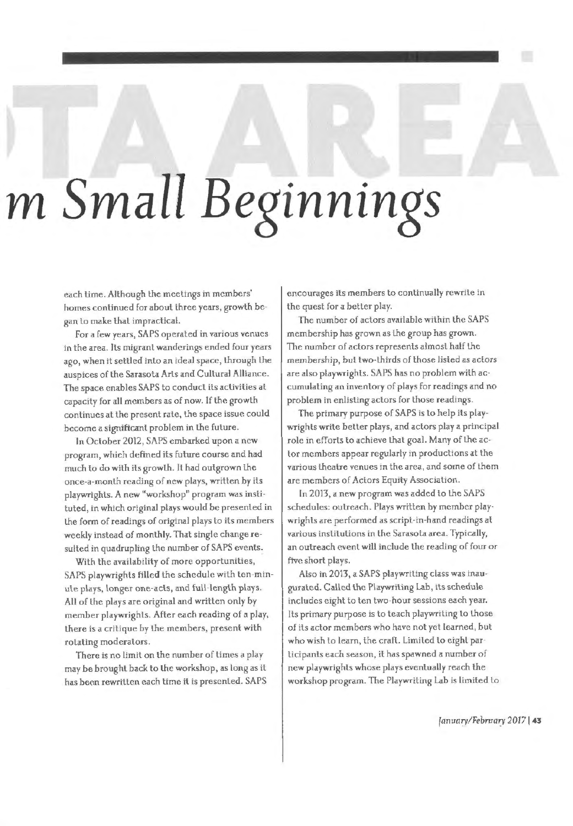## *m Small Beginnings*

each lime. Although lhe meetings in members' homes continued for aboul lhree years, growth began lo make thal impractical.

For a few years, SAPS operated in various venues in the area. Jls migrant wanderings ended four years ago, when it settled inlo an ideal space, through the auspices of lhe Sarasota Arls and Cultural Alliance. The space enables SAPS to conduct its activities at capacity for all members as of now. If the growth continues al the presenl rate, the space issue could become a significant problem in the future.

ln October 2012, SAPS embarked upon a new program, which defined its future course and had much to do with its growth. It had outgrown the once-a-month reading of new plays, wrillen by its playwrights. A new "workshop" program was instituted, in which original plays would be presented in the form of readings of original plays to its members weekly instead of monthly. That single change resulted in quadrupling the number of SAPS events.

With the availability of more opportunities, SAPS playwrights filled the schedule with ten-minute plays, longer one-acts, and full-length plays. All of the plays are original and written only by member playwrighls. After each reading of a play, there is a critique by the members, present with rolating moderators.

There is no limit on the number of times a play may be brought back to the workshop, as long as it has been rewritten each time il is presented. SAPS encourages ils members to continually rewrite in the quest for a better play.

The number of actors available within the SAPS membership has grown as Lhe group has grown. The number of aclors represents almost half the membership, but two-thirds of those listed as actors are also playwrights. SAPS has no problem with accumulating an inventory of plays for readings and no problem in enlisting aclors for those readings.

The primary purpose of SAPS is to help its playwrights write better plays, and actors play a principal role in efforts to achieve thal goal. Many of lhe actor members appear regularly in productions at the various theatre venues in Lhe area, and some of them are members of Actors Equity Association.

In 2013, a new program was added lo the SAPS schedules: outreach. Plays written by member playwrights are performed as script-in-hand readings al various inslitulions in the Sarasota area. Typically, an outreach event will include the reading of four or five short plays.

Also in 2013, a SAPS playwriling class was inaugurated. Called the Playwriting Lah, its schedule includes eight to ten lwo-hour sessions each year. lls primary purpose is to leach playwriting lo those of its actor members who have not yet learned, hut who wish to learn, the craft. Limited to eight parlicipants each season, il has spawned a number of new playwrights whose plays eventually reach the workshop program. The Playwriting Lab is limited lo

*fanuary!Febmary* **20771 43**